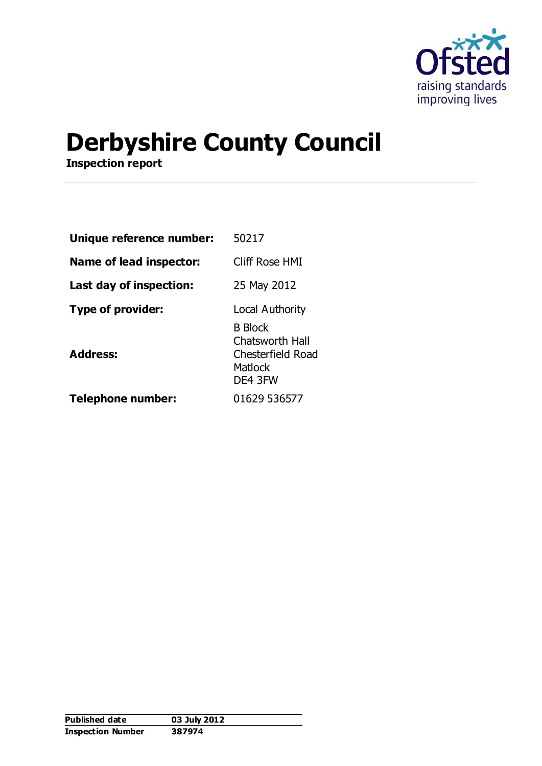

# **Derbyshire County Council**

**Inspection report**

| Unique reference number: | 50217                                                                                      |
|--------------------------|--------------------------------------------------------------------------------------------|
| Name of lead inspector:  | Cliff Rose HMI                                                                             |
| Last day of inspection:  | 25 May 2012                                                                                |
| <b>Type of provider:</b> | Local Authority                                                                            |
| <b>Address:</b>          | <b>B</b> Block<br><b>Chatsworth Hall</b><br>Chesterfield Road<br><b>Matlock</b><br>DE4 3FW |
| <b>Telephone number:</b> | 01629 536577                                                                               |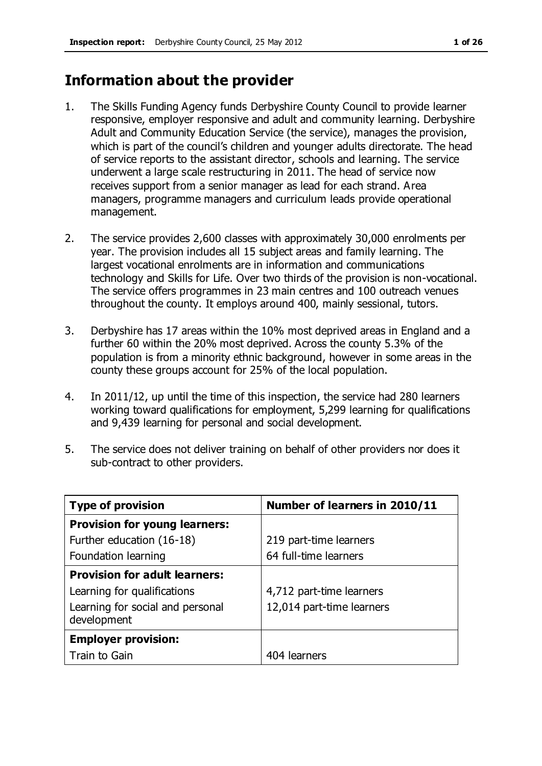# **Information about the provider**

- 1. The Skills Funding Agency funds Derbyshire County Council to provide learner responsive, employer responsive and adult and community learning. Derbyshire Adult and Community Education Service (the service), manages the provision, which is part of the council's children and younger adults directorate. The head of service reports to the assistant director, schools and learning. The service underwent a large scale restructuring in 2011. The head of service now receives support from a senior manager as lead for each strand. Area managers, programme managers and curriculum leads provide operational management.
- 2. The service provides 2,600 classes with approximately 30,000 enrolments per year. The provision includes all 15 subject areas and family learning. The largest vocational enrolments are in information and communications technology and Skills for Life. Over two thirds of the provision is non-vocational. The service offers programmes in 23 main centres and 100 outreach venues throughout the county. It employs around 400, mainly sessional, tutors.
- 3. Derbyshire has 17 areas within the 10% most deprived areas in England and a further 60 within the 20% most deprived. Across the county 5.3% of the population is from a minority ethnic background, however in some areas in the county these groups account for 25% of the local population.
- 4. In 2011/12, up until the time of this inspection, the service had 280 learners working toward qualifications for employment, 5,299 learning for qualifications and 9,439 learning for personal and social development.
- 5. The service does not deliver training on behalf of other providers nor does it sub-contract to other providers.

| <b>Type of provision</b>                        | Number of learners in 2010/11 |
|-------------------------------------------------|-------------------------------|
| <b>Provision for young learners:</b>            |                               |
| Further education (16-18)                       | 219 part-time learners        |
| Foundation learning                             | 64 full-time learners         |
| <b>Provision for adult learners:</b>            |                               |
| Learning for qualifications                     | 4,712 part-time learners      |
| Learning for social and personal<br>development | 12,014 part-time learners     |
| <b>Employer provision:</b>                      |                               |
| Train to Gain                                   | 404 learners                  |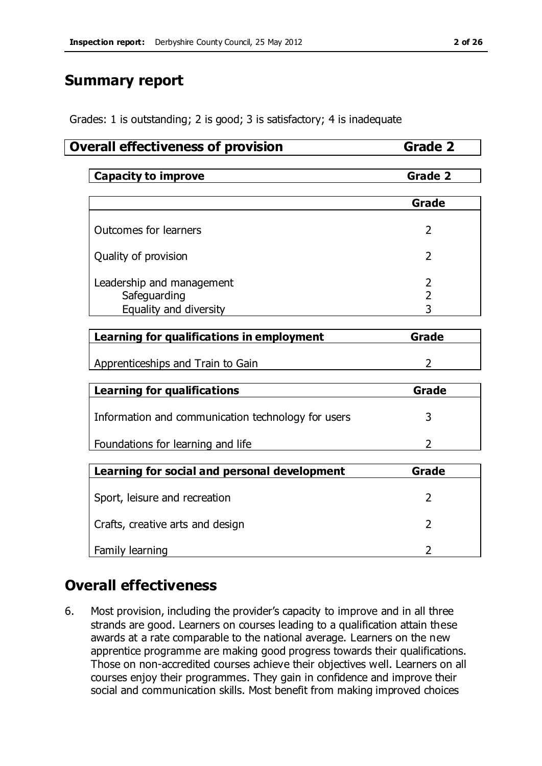# **Summary report**

Grades: 1 is outstanding; 2 is good; 3 is satisfactory; 4 is inadequate

### **Overall effectiveness of provision <b>Grade 2**

|  | Capacity to<br><b>improve</b> |  |
|--|-------------------------------|--|
|--|-------------------------------|--|

|                                                                     | Grade |
|---------------------------------------------------------------------|-------|
| Outcomes for learners                                               |       |
| Quality of provision                                                |       |
| Leadership and management<br>Safeguarding<br>Equality and diversity |       |

| Learning for qualifications in employment | Grade |  |  |
|-------------------------------------------|-------|--|--|
|                                           |       |  |  |
| Apprenticeships and Train to Gain         |       |  |  |

| <b>Learning for qualifications</b>                 | Grade |  |  |
|----------------------------------------------------|-------|--|--|
| Information and communication technology for users |       |  |  |
| Foundations for learning and life                  |       |  |  |

| Learning for social and personal development | Grade |
|----------------------------------------------|-------|
| Sport, leisure and recreation                |       |
| Crafts, creative arts and design             |       |
| Family learning                              |       |

# **Overall effectiveness**

6. Most provision, including the provider's capacity to improve and in all three strands are good. Learners on courses leading to a qualification attain these awards at a rate comparable to the national average. Learners on the new apprentice programme are making good progress towards their qualifications. Those on non-accredited courses achieve their objectives well. Learners on all courses enjoy their programmes. They gain in confidence and improve their social and communication skills. Most benefit from making improved choices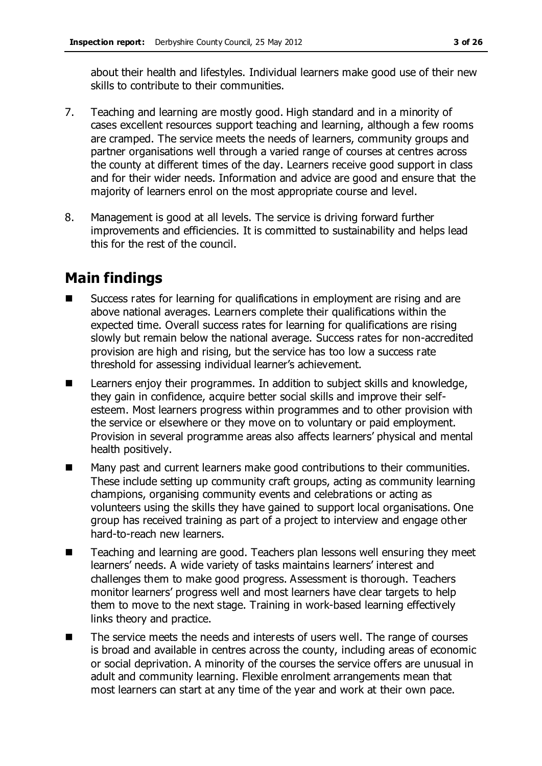about their health and lifestyles. Individual learners make good use of their new skills to contribute to their communities.

- 7. Teaching and learning are mostly good. High standard and in a minority of cases excellent resources support teaching and learning, although a few rooms are cramped. The service meets the needs of learners, community groups and partner organisations well through a varied range of courses at centres across the county at different times of the day. Learners receive good support in class and for their wider needs. Information and advice are good and ensure that the majority of learners enrol on the most appropriate course and level.
- 8. Management is good at all levels. The service is driving forward further improvements and efficiencies. It is committed to sustainability and helps lead this for the rest of the council.

# **Main findings**

- Success rates for learning for qualifications in employment are rising and are above national averages. Learners complete their qualifications within the expected time. Overall success rates for learning for qualifications are rising slowly but remain below the national average. Success rates for non-accredited provision are high and rising, but the service has too low a success rate threshold for assessing individual learner's achievement.
- Learners enjoy their programmes. In addition to subject skills and knowledge, they gain in confidence, acquire better social skills and improve their selfesteem. Most learners progress within programmes and to other provision with the service or elsewhere or they move on to voluntary or paid employment. Provision in several programme areas also affects learners' physical and mental health positively.
- Many past and current learners make good contributions to their communities. These include setting up community craft groups, acting as community learning champions, organising community events and celebrations or acting as volunteers using the skills they have gained to support local organisations. One group has received training as part of a project to interview and engage other hard-to-reach new learners.
- Teaching and learning are good. Teachers plan lessons well ensuring they meet learners' needs. A wide variety of tasks maintains learners' interest and challenges them to make good progress. Assessment is thorough. Teachers monitor learners' progress well and most learners have clear targets to help them to move to the next stage. Training in work-based learning effectively links theory and practice.
- The service meets the needs and interests of users well. The range of courses is broad and available in centres across the county, including areas of economic or social deprivation. A minority of the courses the service offers are unusual in adult and community learning. Flexible enrolment arrangements mean that most learners can start at any time of the year and work at their own pace.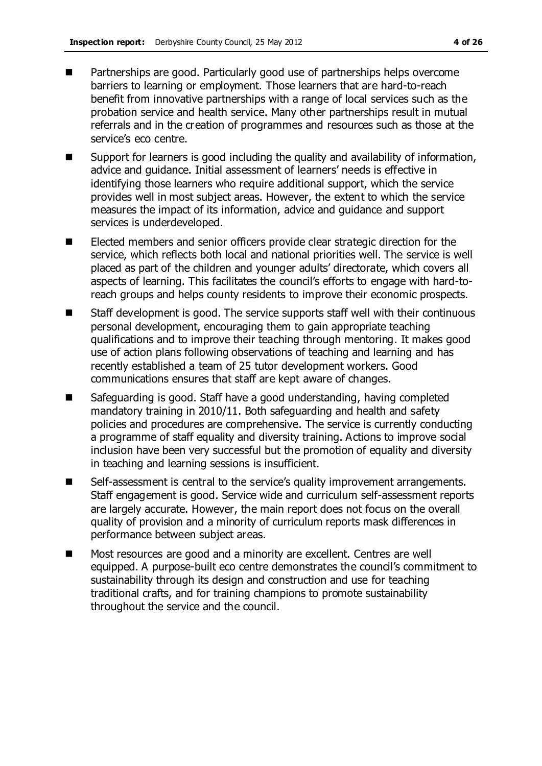- **Partnerships are good. Particularly good use of partnerships helps overcome** barriers to learning or employment. Those learners that are hard-to-reach benefit from innovative partnerships with a range of local services such as the probation service and health service. Many other partnerships result in mutual referrals and in the creation of programmes and resources such as those at the service's eco centre.
- Support for learners is good including the quality and availability of information, advice and guidance. Initial assessment of learners' needs is effective in identifying those learners who require additional support, which the service provides well in most subject areas. However, the extent to which the service measures the impact of its information, advice and guidance and support services is underdeveloped.
- Elected members and senior officers provide clear strategic direction for the service, which reflects both local and national priorities well. The service is well placed as part of the children and younger adults' directorate, which covers all aspects of learning. This facilitates the council's efforts to engage with hard-toreach groups and helps county residents to improve their economic prospects.
- Staff development is good. The service supports staff well with their continuous personal development, encouraging them to gain appropriate teaching qualifications and to improve their teaching through mentoring. It makes good use of action plans following observations of teaching and learning and has recently established a team of 25 tutor development workers. Good communications ensures that staff are kept aware of changes.
- Safeguarding is good. Staff have a good understanding, having completed mandatory training in 2010/11. Both safeguarding and health and safety policies and procedures are comprehensive. The service is currently conducting a programme of staff equality and diversity training. Actions to improve social inclusion have been very successful but the promotion of equality and diversity in teaching and learning sessions is insufficient.
- Self-assessment is central to the service's quality improvement arrangements. Staff engagement is good. Service wide and curriculum self-assessment reports are largely accurate. However, the main report does not focus on the overall quality of provision and a minority of curriculum reports mask differences in performance between subject areas.
- Most resources are good and a minority are excellent. Centres are well equipped. A purpose-built eco centre demonstrates the council's commitment to sustainability through its design and construction and use for teaching traditional crafts, and for training champions to promote sustainability throughout the service and the council.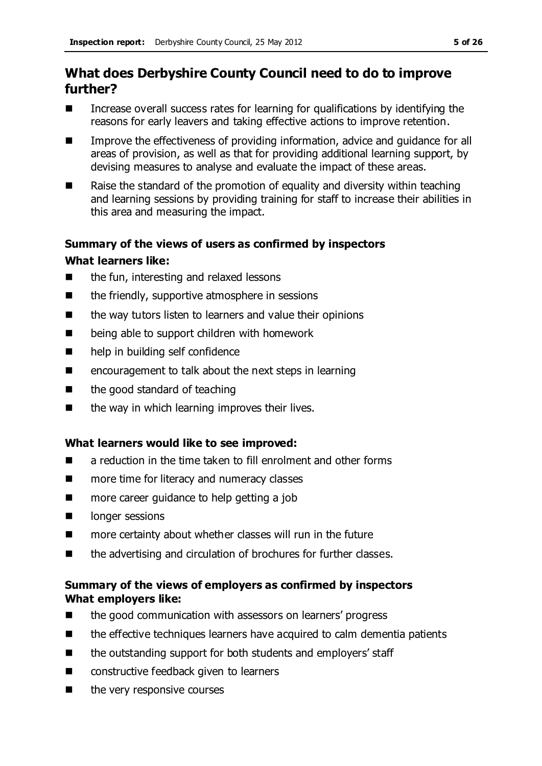# **What does Derbyshire County Council need to do to improve further?**

- $\blacksquare$  Increase overall success rates for learning for qualifications by identifying the reasons for early leavers and taking effective actions to improve retention.
- Improve the effectiveness of providing information, advice and guidance for all areas of provision, as well as that for providing additional learning support, by devising measures to analyse and evaluate the impact of these areas.
- Raise the standard of the promotion of equality and diversity within teaching and learning sessions by providing training for staff to increase their abilities in this area and measuring the impact.

### **Summary of the views of users as confirmed by inspectors**

#### **What learners like:**

- the fun, interesting and relaxed lessons
- $\blacksquare$  the friendly, supportive atmosphere in sessions
- $\blacksquare$  the way tutors listen to learners and value their opinions
- being able to support children with homework
- help in building self confidence
- $\blacksquare$  encouragement to talk about the next steps in learning
- $\blacksquare$  the good standard of teaching
- $\blacksquare$  the way in which learning improves their lives.

### **What learners would like to see improved:**

- **E** a reduction in the time taken to fill enrolment and other forms
- more time for literacy and numeracy classes
- more career guidance to help getting a job
- **I** longer sessions
- more certainty about whether classes will run in the future
- $\blacksquare$  the advertising and circulation of brochures for further classes.

### **Summary of the views of employers as confirmed by inspectors What employers like:**

- the good communication with assessors on learners' progress
- the effective techniques learners have acquired to calm dementia patients
- the outstanding support for both students and employers' staff
- constructive feedback given to learners
- $\blacksquare$  the very responsive courses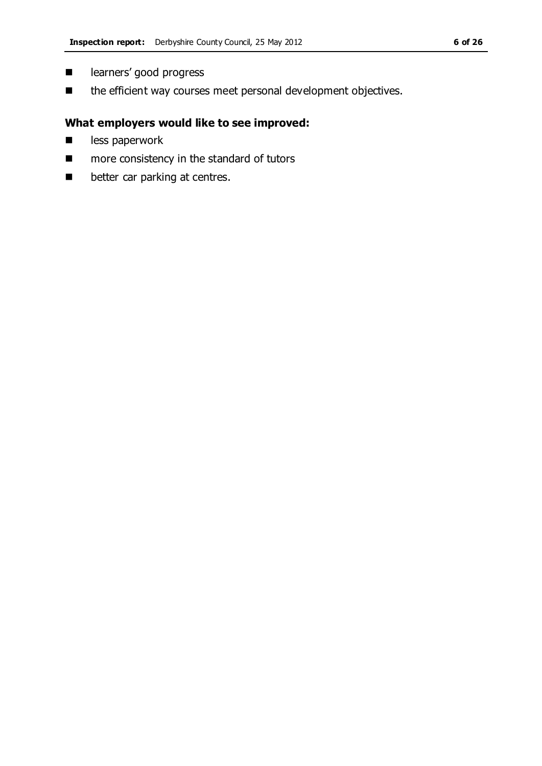- $\blacksquare$  learners' good progress
- $\blacksquare$  the efficient way courses meet personal development objectives.

### **What employers would like to see improved:**

- **less paperwork**
- **n** more consistency in the standard of tutors
- $\blacksquare$  better car parking at centres.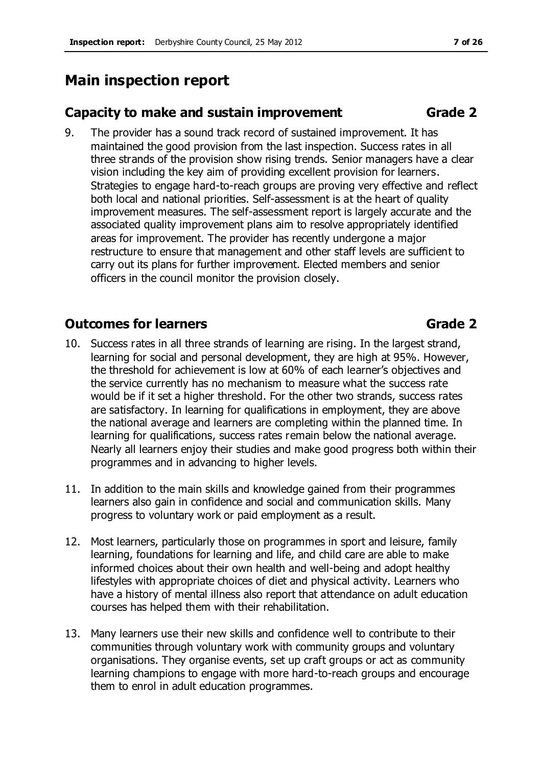# **Main inspection report**

# **Capacity to make and sustain improvement Grade 2**

9. The provider has a sound track record of sustained improvement. It has maintained the good provision from the last inspection. Success rates in all three strands of the provision show rising trends. Senior managers have a clear vision including the key aim of providing excellent provision for learners. Strategies to engage hard-to-reach groups are proving very effective and reflect both local and national priorities. Self-assessment is at the heart of quality improvement measures. The self-assessment report is largely accurate and the associated quality improvement plans aim to resolve appropriately identified areas for improvement. The provider has recently undergone a major restructure to ensure that management and other staff levels are sufficient to carry out its plans for further improvement. Elected members and senior officers in the council monitor the provision closely.

# **Outcomes for learners Grade 2**

- 10. Success rates in all three strands of learning are rising. In the largest strand, learning for social and personal development, they are high at 95%. However, the threshold for achievement is low at 60% of each learner's objectives and the service currently has no mechanism to measure what the success rate would be if it set a higher threshold. For the other two strands, success rates are satisfactory. In learning for qualifications in employment, they are above the national average and learners are completing within the planned time. In learning for qualifications, success rates remain below the national average. Nearly all learners enjoy their studies and make good progress both within their programmes and in advancing to higher levels.
- 11. In addition to the main skills and knowledge gained from their programmes learners also gain in confidence and social and communication skills. Many progress to voluntary work or paid employment as a result.
- 12. Most learners, particularly those on programmes in sport and leisure, family learning, foundations for learning and life, and child care are able to make informed choices about their own health and well-being and adopt healthy lifestyles with appropriate choices of diet and physical activity. Learners who have a history of mental illness also report that attendance on adult education courses has helped them with their rehabilitation.
- 13. Many learners use their new skills and confidence well to contribute to their communities through voluntary work with community groups and voluntary organisations. They organise events, set up craft groups or act as community learning champions to engage with more hard-to-reach groups and encourage them to enrol in adult education programmes.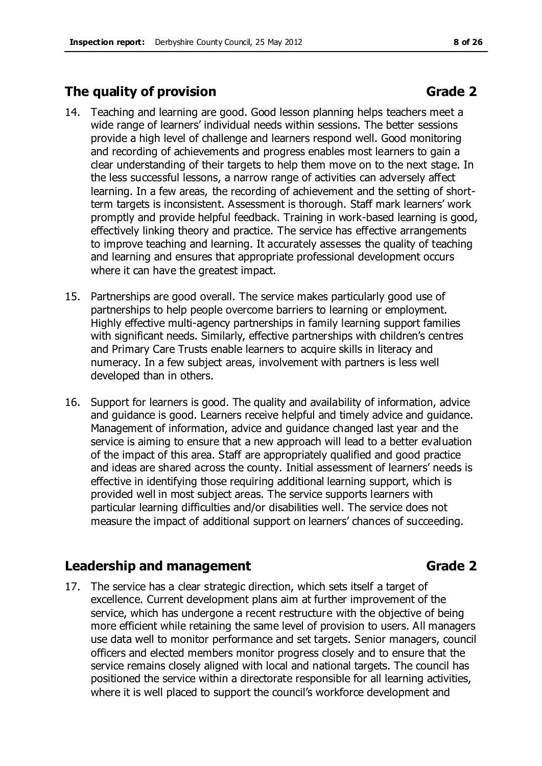# **The quality of provision Grade 2**

- 14. Teaching and learning are good. Good lesson planning helps teachers meet a wide range of learners' individual needs within sessions. The better sessions provide a high level of challenge and learners respond well. Good monitoring and recording of achievements and progress enables most learners to gain a clear understanding of their targets to help them move on to the next stage. In the less successful lessons, a narrow range of activities can adversely affect learning. In a few areas, the recording of achievement and the setting of shortterm targets is inconsistent. Assessment is thorough. Staff mark learners' work promptly and provide helpful feedback. Training in work-based learning is good, effectively linking theory and practice. The service has effective arrangements to improve teaching and learning. It accurately assesses the quality of teaching and learning and ensures that appropriate professional development occurs where it can have the greatest impact.
- 15. Partnerships are good overall. The service makes particularly good use of partnerships to help people overcome barriers to learning or employment. Highly effective multi-agency partnerships in family learning support families with significant needs. Similarly, effective partnerships with children's centres and Primary Care Trusts enable learners to acquire skills in literacy and numeracy. In a few subject areas, involvement with partners is less well developed than in others.
- 16. Support for learners is good. The quality and availability of information, advice and guidance is good. Learners receive helpful and timely advice and guidance. Management of information, advice and guidance changed last year and the service is aiming to ensure that a new approach will lead to a better evaluation of the impact of this area. Staff are appropriately qualified and good practice and ideas are shared across the county. Initial assessment of learners' needs is effective in identifying those requiring additional learning support, which is provided well in most subject areas. The service supports learners with particular learning difficulties and/or disabilities well. The service does not measure the impact of additional support on learners' chances of succeeding.

# **Leadership and management Grade 2**

17. The service has a clear strategic direction, which sets itself a target of excellence. Current development plans aim at further improvement of the service, which has undergone a recent restructure with the objective of being more efficient while retaining the same level of provision to users. All managers use data well to monitor performance and set targets. Senior managers, council officers and elected members monitor progress closely and to ensure that the service remains closely aligned with local and national targets. The council has positioned the service within a directorate responsible for all learning activities, where it is well placed to support the council's workforce development and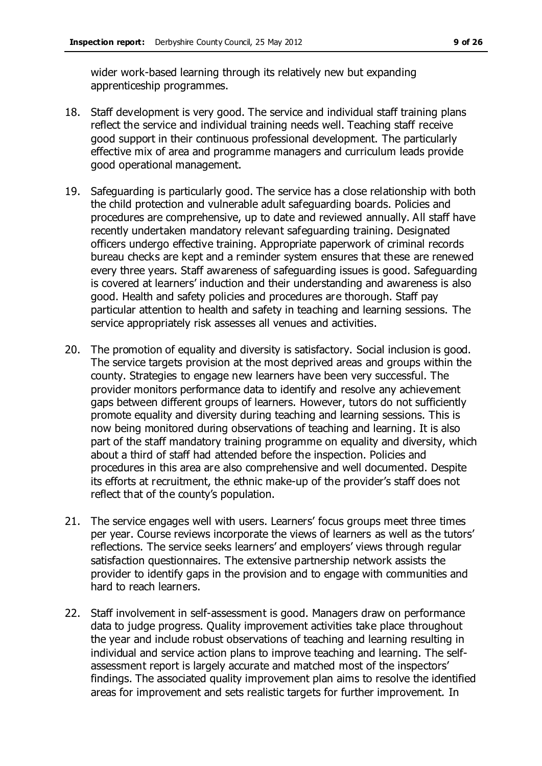wider work-based learning through its relatively new but expanding apprenticeship programmes.

- 18. Staff development is very good. The service and individual staff training plans reflect the service and individual training needs well. Teaching staff receive good support in their continuous professional development. The particularly effective mix of area and programme managers and curriculum leads provide good operational management.
- 19. Safeguarding is particularly good. The service has a close relationship with both the child protection and vulnerable adult safeguarding boards. Policies and procedures are comprehensive, up to date and reviewed annually. All staff have recently undertaken mandatory relevant safeguarding training. Designated officers undergo effective training. Appropriate paperwork of criminal records bureau checks are kept and a reminder system ensures that these are renewed every three years. Staff awareness of safeguarding issues is good. Safeguarding is covered at learners' induction and their understanding and awareness is also good. Health and safety policies and procedures are thorough. Staff pay particular attention to health and safety in teaching and learning sessions. The service appropriately risk assesses all venues and activities.
- 20. The promotion of equality and diversity is satisfactory. Social inclusion is good. The service targets provision at the most deprived areas and groups within the county. Strategies to engage new learners have been very successful. The provider monitors performance data to identify and resolve any achievement gaps between different groups of learners. However, tutors do not sufficiently promote equality and diversity during teaching and learning sessions. This is now being monitored during observations of teaching and learning. It is also part of the staff mandatory training programme on equality and diversity, which about a third of staff had attended before the inspection. Policies and procedures in this area are also comprehensive and well documented. Despite its efforts at recruitment, the ethnic make-up of the provider's staff does not reflect that of the county's population.
- 21. The service engages well with users. Learners' focus groups meet three times per year. Course reviews incorporate the views of learners as well as the tutors' reflections. The service seeks learners' and employers' views through regular satisfaction questionnaires. The extensive partnership network assists the provider to identify gaps in the provision and to engage with communities and hard to reach learners.
- 22. Staff involvement in self-assessment is good. Managers draw on performance data to judge progress. Quality improvement activities take place throughout the year and include robust observations of teaching and learning resulting in individual and service action plans to improve teaching and learning. The selfassessment report is largely accurate and matched most of the inspectors' findings. The associated quality improvement plan aims to resolve the identified areas for improvement and sets realistic targets for further improvement. In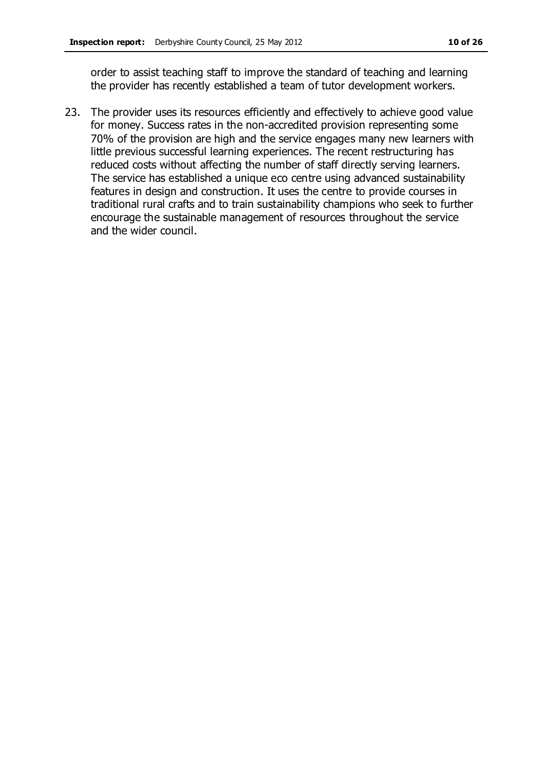order to assist teaching staff to improve the standard of teaching and learning the provider has recently established a team of tutor development workers.

23. The provider uses its resources efficiently and effectively to achieve good value for money. Success rates in the non-accredited provision representing some 70% of the provision are high and the service engages many new learners with little previous successful learning experiences. The recent restructuring has reduced costs without affecting the number of staff directly serving learners. The service has established a unique eco centre using advanced sustainability features in design and construction. It uses the centre to provide courses in traditional rural crafts and to train sustainability champions who seek to further encourage the sustainable management of resources throughout the service and the wider council.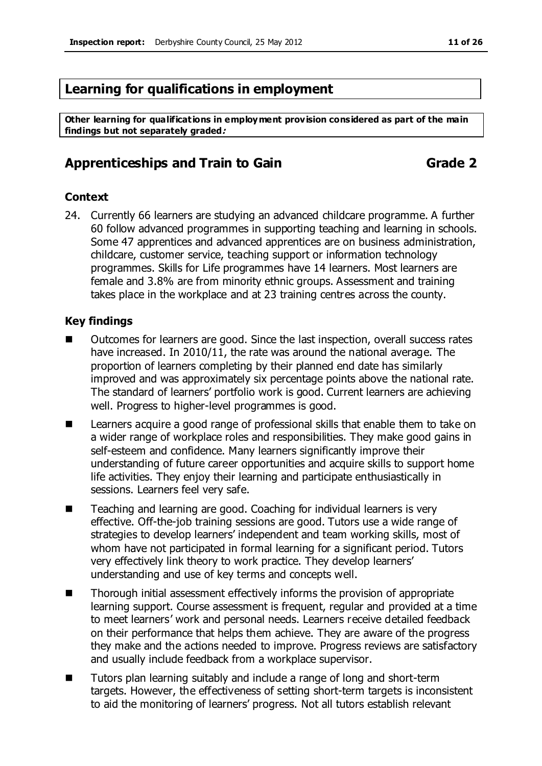# **Learning for qualifications in employment**

**Other learning for qualifications in employment provision considered as part of the main findings but not separately graded:**

## **Apprenticeships and Train to Gain Grade 2**

#### **Context**

24. Currently 66 learners are studying an advanced childcare programme. A further 60 follow advanced programmes in supporting teaching and learning in schools. Some 47 apprentices and advanced apprentices are on business administration, childcare, customer service, teaching support or information technology programmes. Skills for Life programmes have 14 learners. Most learners are female and 3.8% are from minority ethnic groups. Assessment and training takes place in the workplace and at 23 training centres across the county.

- Outcomes for learners are good. Since the last inspection, overall success rates have increased. In 2010/11, the rate was around the national average. The proportion of learners completing by their planned end date has similarly improved and was approximately six percentage points above the national rate. The standard of learners' portfolio work is good. Current learners are achieving well. Progress to higher-level programmes is good.
- Learners acquire a good range of professional skills that enable them to take on a wider range of workplace roles and responsibilities. They make good gains in self-esteem and confidence. Many learners significantly improve their understanding of future career opportunities and acquire skills to support home life activities. They enjoy their learning and participate enthusiastically in sessions. Learners feel very safe.
- Teaching and learning are good. Coaching for individual learners is very effective. Off-the-job training sessions are good. Tutors use a wide range of strategies to develop learners' independent and team working skills, most of whom have not participated in formal learning for a significant period. Tutors very effectively link theory to work practice. They develop learners' understanding and use of key terms and concepts well.
- Thorough initial assessment effectively informs the provision of appropriate learning support. Course assessment is frequent, regular and provided at a time to meet learners' work and personal needs. Learners receive detailed feedback on their performance that helps them achieve. They are aware of the progress they make and the actions needed to improve. Progress reviews are satisfactory and usually include feedback from a workplace supervisor.
- Tutors plan learning suitably and include a range of long and short-term targets. However, the effectiveness of setting short-term targets is inconsistent to aid the monitoring of learners' progress. Not all tutors establish relevant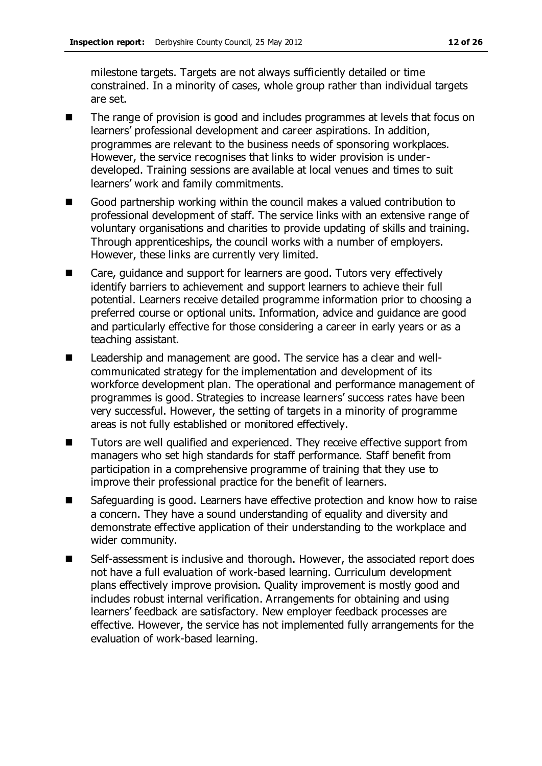milestone targets. Targets are not always sufficiently detailed or time constrained. In a minority of cases, whole group rather than individual targets are set.

- The range of provision is good and includes programmes at levels that focus on learners' professional development and career aspirations. In addition, programmes are relevant to the business needs of sponsoring workplaces. However, the service recognises that links to wider provision is underdeveloped. Training sessions are available at local venues and times to suit learners' work and family commitments.
- Good partnership working within the council makes a valued contribution to professional development of staff. The service links with an extensive range of voluntary organisations and charities to provide updating of skills and training. Through apprenticeships, the council works with a number of employers. However, these links are currently very limited.
- Care, guidance and support for learners are good. Tutors very effectively identify barriers to achievement and support learners to achieve their full potential. Learners receive detailed programme information prior to choosing a preferred course or optional units. Information, advice and guidance are good and particularly effective for those considering a career in early years or as a teaching assistant.
- Leadership and management are good. The service has a clear and wellcommunicated strategy for the implementation and development of its workforce development plan. The operational and performance management of programmes is good. Strategies to increase learners' success rates have been very successful. However, the setting of targets in a minority of programme areas is not fully established or monitored effectively.
- Tutors are well qualified and experienced. They receive effective support from managers who set high standards for staff performance. Staff benefit from participation in a comprehensive programme of training that they use to improve their professional practice for the benefit of learners.
- Safeguarding is good. Learners have effective protection and know how to raise a concern. They have a sound understanding of equality and diversity and demonstrate effective application of their understanding to the workplace and wider community.
- Self-assessment is inclusive and thorough. However, the associated report does not have a full evaluation of work-based learning. Curriculum development plans effectively improve provision. Quality improvement is mostly good and includes robust internal verification. Arrangements for obtaining and using learners' feedback are satisfactory. New employer feedback processes are effective. However, the service has not implemented fully arrangements for the evaluation of work-based learning.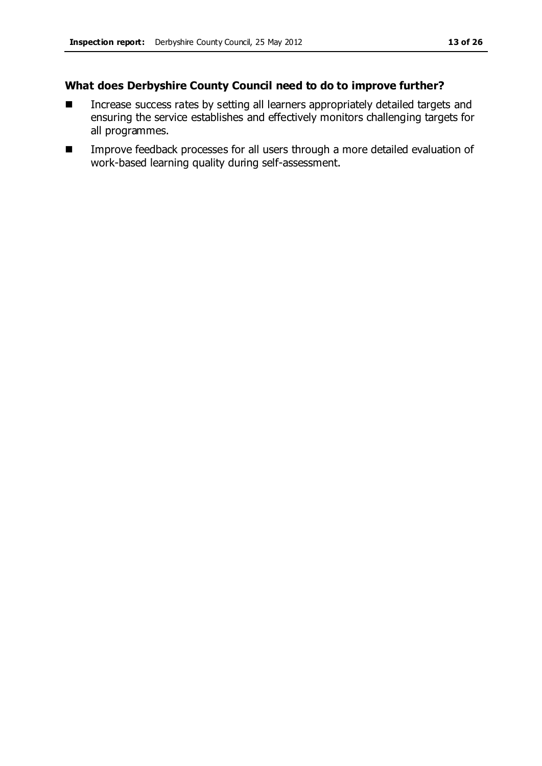- Increase success rates by setting all learners appropriately detailed targets and ensuring the service establishes and effectively monitors challenging targets for all programmes.
- **IMPROVE FEEDBACK processes for all users through a more detailed evaluation of** work-based learning quality during self-assessment.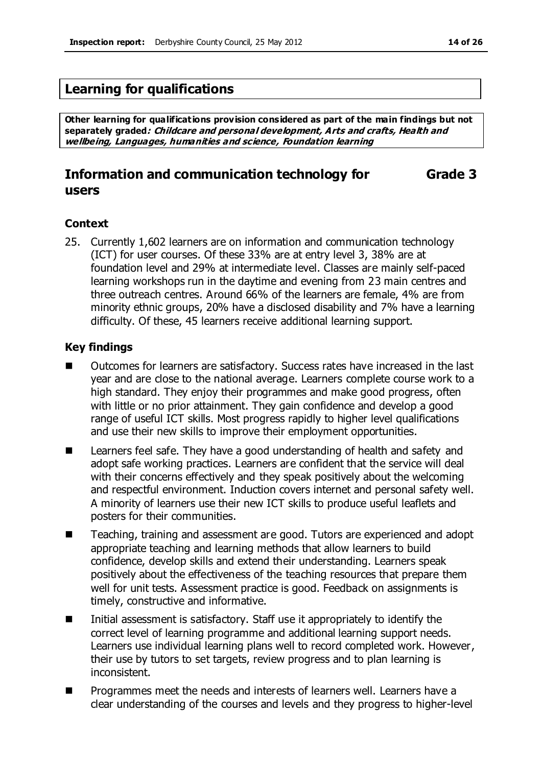# **Learning for qualifications**

**Other learning for qualifications provision considered as part of the main findings but not separately graded: Childcare and personal development, Arts and crafts, Health and wellbeing, Languages, humanities and science, Foundation learning**

#### **Information and communication technology for users Grade 3**

#### **Context**

25. Currently 1,602 learners are on information and communication technology (ICT) for user courses. Of these 33% are at entry level 3, 38% are at foundation level and 29% at intermediate level. Classes are mainly self-paced learning workshops run in the daytime and evening from 23 main centres and three outreach centres. Around 66% of the learners are female, 4% are from minority ethnic groups, 20% have a disclosed disability and 7% have a learning difficulty. Of these, 45 learners receive additional learning support.

- Outcomes for learners are satisfactory. Success rates have increased in the last year and are close to the national average. Learners complete course work to a high standard. They enjoy their programmes and make good progress, often with little or no prior attainment. They gain confidence and develop a good range of useful ICT skills. Most progress rapidly to higher level qualifications and use their new skills to improve their employment opportunities.
- Learners feel safe. They have a good understanding of health and safety and adopt safe working practices. Learners are confident that the service will deal with their concerns effectively and they speak positively about the welcoming and respectful environment. Induction covers internet and personal safety well. A minority of learners use their new ICT skills to produce useful leaflets and posters for their communities.
- Teaching, training and assessment are good. Tutors are experienced and adopt appropriate teaching and learning methods that allow learners to build confidence, develop skills and extend their understanding. Learners speak positively about the effectiveness of the teaching resources that prepare them well for unit tests. Assessment practice is good. Feedback on assignments is timely, constructive and informative.
- $\blacksquare$  Initial assessment is satisfactory. Staff use it appropriately to identify the correct level of learning programme and additional learning support needs. Learners use individual learning plans well to record completed work. However, their use by tutors to set targets, review progress and to plan learning is inconsistent.
- **Programmes meet the needs and interests of learners well. Learners have a** clear understanding of the courses and levels and they progress to higher-level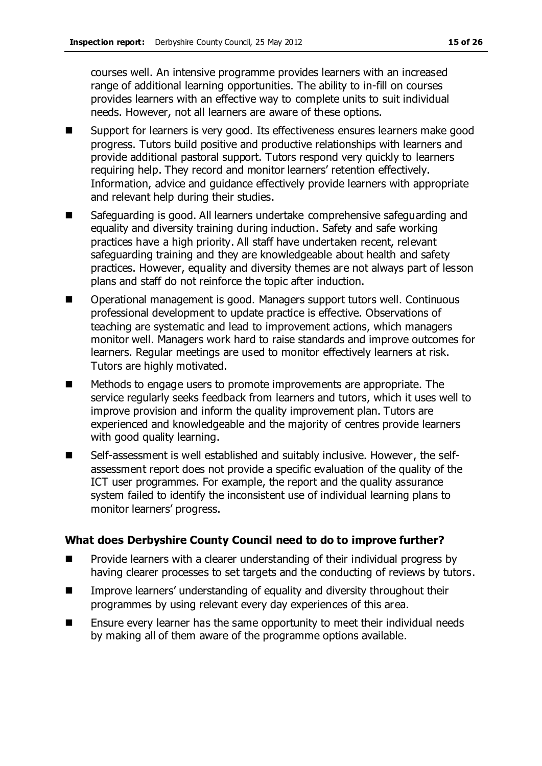courses well. An intensive programme provides learners with an increased range of additional learning opportunities. The ability to in-fill on courses provides learners with an effective way to complete units to suit individual needs. However, not all learners are aware of these options.

- Support for learners is very good. Its effectiveness ensures learners make good progress. Tutors build positive and productive relationships with learners and provide additional pastoral support. Tutors respond very quickly to learners requiring help. They record and monitor learners' retention effectively. Information, advice and guidance effectively provide learners with appropriate and relevant help during their studies.
- Safeguarding is good. All learners undertake comprehensive safeguarding and equality and diversity training during induction. Safety and safe working practices have a high priority. All staff have undertaken recent, relevant safeguarding training and they are knowledgeable about health and safety practices. However, equality and diversity themes are not always part of lesson plans and staff do not reinforce the topic after induction.
- Operational management is good. Managers support tutors well. Continuous professional development to update practice is effective. Observations of teaching are systematic and lead to improvement actions, which managers monitor well. Managers work hard to raise standards and improve outcomes for learners. Regular meetings are used to monitor effectively learners at risk. Tutors are highly motivated.
- Methods to engage users to promote improvements are appropriate. The service regularly seeks feedback from learners and tutors, which it uses well to improve provision and inform the quality improvement plan. Tutors are experienced and knowledgeable and the majority of centres provide learners with good quality learning.
- Self-assessment is well established and suitably inclusive. However, the selfassessment report does not provide a specific evaluation of the quality of the ICT user programmes. For example, the report and the quality assurance system failed to identify the inconsistent use of individual learning plans to monitor learners' progress.

- **Provide learners with a clearer understanding of their individual progress by** having clearer processes to set targets and the conducting of reviews by tutors.
- **IMPROVE LATTERS** Improve learners' understanding of equality and diversity throughout their programmes by using relevant every day experiences of this area.
- Ensure every learner has the same opportunity to meet their individual needs by making all of them aware of the programme options available.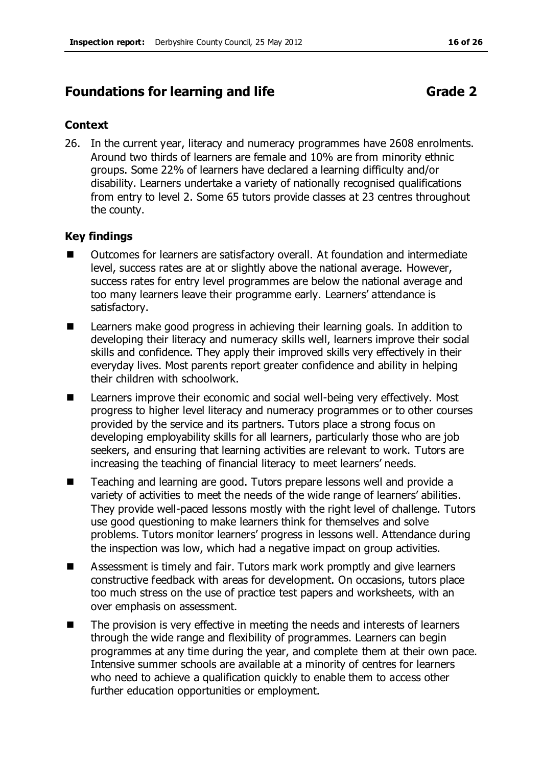# **Foundations for learning and life <b>Grade 2 Grade 2**

### **Context**

26. In the current year, literacy and numeracy programmes have 2608 enrolments. Around two thirds of learners are female and 10% are from minority ethnic groups. Some 22% of learners have declared a learning difficulty and/or disability. Learners undertake a variety of nationally recognised qualifications from entry to level 2. Some 65 tutors provide classes at 23 centres throughout the county.

- Outcomes for learners are satisfactory overall. At foundation and intermediate level, success rates are at or slightly above the national average. However, success rates for entry level programmes are below the national average and too many learners leave their programme early. Learners' attendance is satisfactory.
- Learners make good progress in achieving their learning goals. In addition to developing their literacy and numeracy skills well, learners improve their social skills and confidence. They apply their improved skills very effectively in their everyday lives. Most parents report greater confidence and ability in helping their children with schoolwork.
- Learners improve their economic and social well-being very effectively. Most progress to higher level literacy and numeracy programmes or to other courses provided by the service and its partners. Tutors place a strong focus on developing employability skills for all learners, particularly those who are job seekers, and ensuring that learning activities are relevant to work. Tutors are increasing the teaching of financial literacy to meet learners' needs.
- Teaching and learning are good. Tutors prepare lessons well and provide a variety of activities to meet the needs of the wide range of learners' abilities. They provide well-paced lessons mostly with the right level of challenge. Tutors use good questioning to make learners think for themselves and solve problems. Tutors monitor learners' progress in lessons well. Attendance during the inspection was low, which had a negative impact on group activities.
- Assessment is timely and fair. Tutors mark work promptly and give learners constructive feedback with areas for development. On occasions, tutors place too much stress on the use of practice test papers and worksheets, with an over emphasis on assessment.
- The provision is very effective in meeting the needs and interests of learners through the wide range and flexibility of programmes. Learners can begin programmes at any time during the year, and complete them at their own pace. Intensive summer schools are available at a minority of centres for learners who need to achieve a qualification quickly to enable them to access other further education opportunities or employment.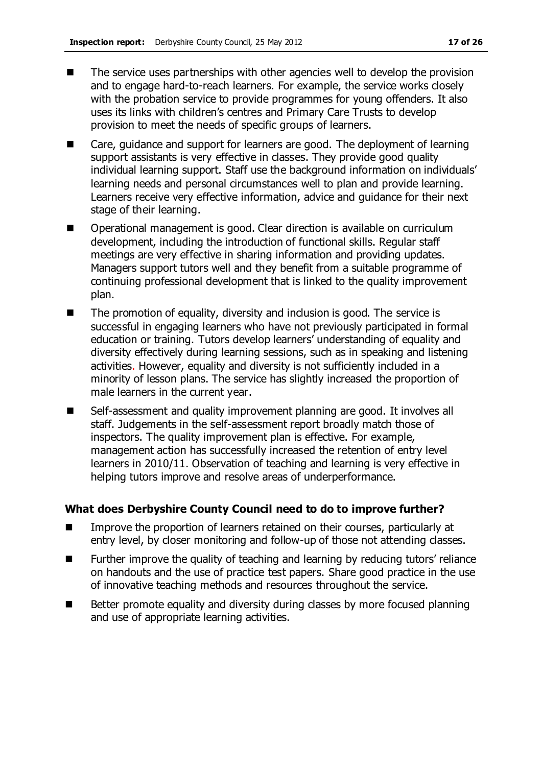- $\blacksquare$  The service uses partnerships with other agencies well to develop the provision and to engage hard-to-reach learners. For example, the service works closely with the probation service to provide programmes for young offenders. It also uses its links with children's centres and Primary Care Trusts to develop provision to meet the needs of specific groups of learners.
- Care, guidance and support for learners are good. The deployment of learning support assistants is very effective in classes. They provide good quality individual learning support. Staff use the background information on individuals' learning needs and personal circumstances well to plan and provide learning. Learners receive very effective information, advice and guidance for their next stage of their learning.
- **Deparational management is good. Clear direction is available on curriculum** development, including the introduction of functional skills. Regular staff meetings are very effective in sharing information and providing updates. Managers support tutors well and they benefit from a suitable programme of continuing professional development that is linked to the quality improvement plan.
- The promotion of equality, diversity and inclusion is good. The service is successful in engaging learners who have not previously participated in formal education or training. Tutors develop learners' understanding of equality and diversity effectively during learning sessions, such as in speaking and listening activities. However, equality and diversity is not sufficiently included in a minority of lesson plans. The service has slightly increased the proportion of male learners in the current year.
- Self-assessment and quality improvement planning are good. It involves all staff. Judgements in the self-assessment report broadly match those of inspectors. The quality improvement plan is effective. For example, management action has successfully increased the retention of entry level learners in 2010/11. Observation of teaching and learning is very effective in helping tutors improve and resolve areas of underperformance.

- **IMPROVE THE PROPORT INCOCO EXAMPLE 1** Improve the proportion of learners retained on their courses, particularly at entry level, by closer monitoring and follow-up of those not attending classes.
- Further improve the quality of teaching and learning by reducing tutors' reliance on handouts and the use of practice test papers. Share good practice in the use of innovative teaching methods and resources throughout the service.
- Better promote equality and diversity during classes by more focused planning and use of appropriate learning activities.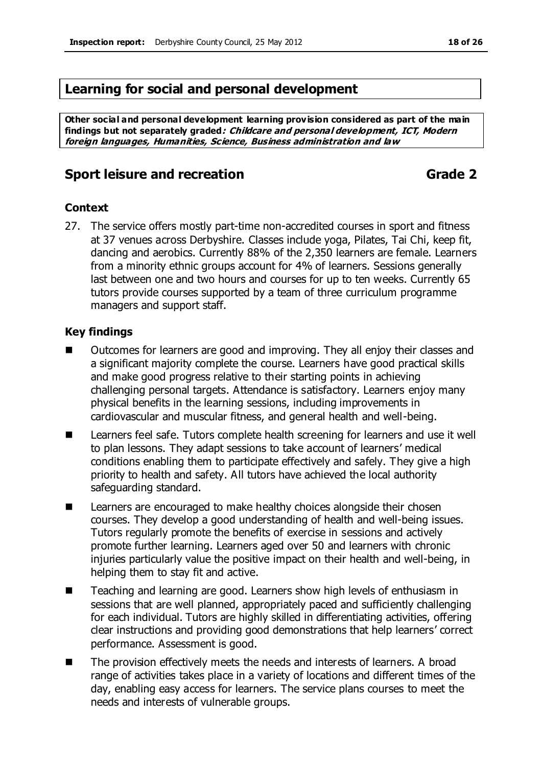# **Learning for social and personal development**

**Other social and personal development learning provision considered as part of the main findings but not separately graded: Childcare and personal development, ICT, Modern foreign languages, Humanities, Science, Business administration and law**

# **Sport leisure and recreation Grade 2**

### **Context**

27. The service offers mostly part-time non-accredited courses in sport and fitness at 37 venues across Derbyshire. Classes include yoga, Pilates, Tai Chi, keep fit, dancing and aerobics. Currently 88% of the 2,350 learners are female. Learners from a minority ethnic groups account for 4% of learners. Sessions generally last between one and two hours and courses for up to ten weeks. Currently 65 tutors provide courses supported by a team of three curriculum programme managers and support staff.

- Outcomes for learners are good and improving. They all enjoy their classes and a significant majority complete the course. Learners have good practical skills and make good progress relative to their starting points in achieving challenging personal targets. Attendance is satisfactory. Learners enjoy many physical benefits in the learning sessions, including improvements in cardiovascular and muscular fitness, and general health and well-being.
- Learners feel safe. Tutors complete health screening for learners and use it well to plan lessons. They adapt sessions to take account of learners' medical conditions enabling them to participate effectively and safely. They give a high priority to health and safety. All tutors have achieved the local authority safeguarding standard.
- **EXECUTE:** Learners are encouraged to make healthy choices alongside their chosen courses. They develop a good understanding of health and well-being issues. Tutors regularly promote the benefits of exercise in sessions and actively promote further learning. Learners aged over 50 and learners with chronic injuries particularly value the positive impact on their health and well-being, in helping them to stay fit and active.
- Teaching and learning are good. Learners show high levels of enthusiasm in sessions that are well planned, appropriately paced and sufficiently challenging for each individual. Tutors are highly skilled in differentiating activities, offering clear instructions and providing good demonstrations that help learners' correct performance. Assessment is good.
- The provision effectively meets the needs and interests of learners. A broad range of activities takes place in a variety of locations and different times of the day, enabling easy access for learners. The service plans courses to meet the needs and interests of vulnerable groups.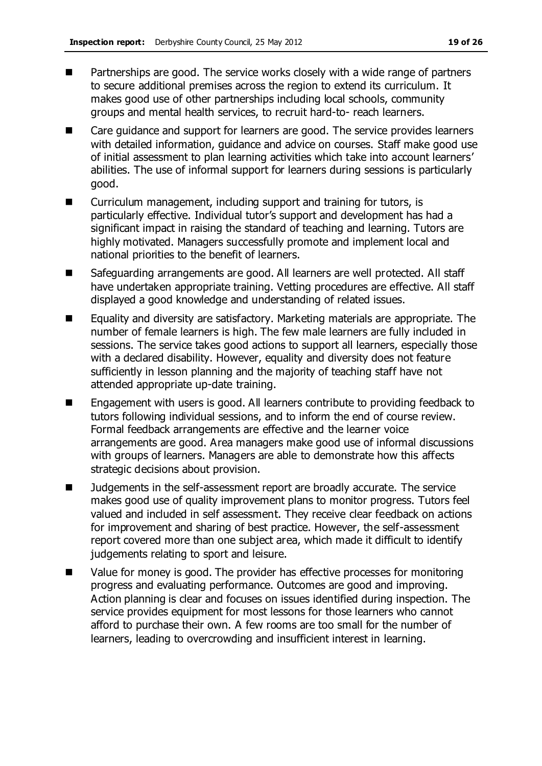- 
- **Partnerships are good. The service works closely with a wide range of partners** to secure additional premises across the region to extend its curriculum. It makes good use of other partnerships including local schools, community groups and mental health services, to recruit hard-to- reach learners.
- Care guidance and support for learners are good. The service provides learners with detailed information, guidance and advice on courses. Staff make good use of initial assessment to plan learning activities which take into account learners' abilities. The use of informal support for learners during sessions is particularly good.
- Curriculum management, including support and training for tutors, is particularly effective. Individual tutor's support and development has had a significant impact in raising the standard of teaching and learning. Tutors are highly motivated. Managers successfully promote and implement local and national priorities to the benefit of learners.
- Safeguarding arrangements are good. All learners are well protected. All staff have undertaken appropriate training. Vetting procedures are effective. All staff displayed a good knowledge and understanding of related issues.
- Equality and diversity are satisfactory. Marketing materials are appropriate. The number of female learners is high. The few male learners are fully included in sessions. The service takes good actions to support all learners, especially those with a declared disability. However, equality and diversity does not feature sufficiently in lesson planning and the majority of teaching staff have not attended appropriate up-date training.
- Engagement with users is good. All learners contribute to providing feedback to tutors following individual sessions, and to inform the end of course review. Formal feedback arrangements are effective and the learner voice arrangements are good. Area managers make good use of informal discussions with groups of learners. Managers are able to demonstrate how this affects strategic decisions about provision.
- Judgements in the self-assessment report are broadly accurate. The service makes good use of quality improvement plans to monitor progress. Tutors feel valued and included in self assessment. They receive clear feedback on actions for improvement and sharing of best practice. However, the self-assessment report covered more than one subject area, which made it difficult to identify judgements relating to sport and leisure.
- Value for money is good. The provider has effective processes for monitoring progress and evaluating performance. Outcomes are good and improving. Action planning is clear and focuses on issues identified during inspection. The service provides equipment for most lessons for those learners who cannot afford to purchase their own. A few rooms are too small for the number of learners, leading to overcrowding and insufficient interest in learning.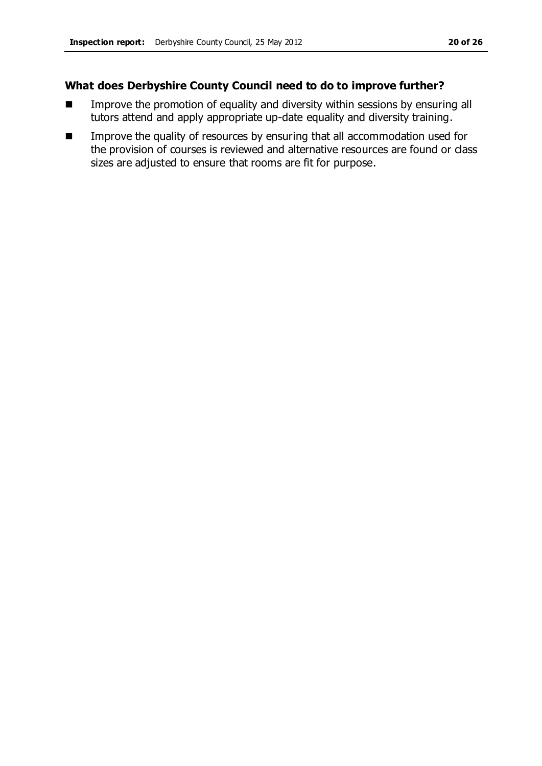- **IMPROVE THE PROMOTION IS EXAMORED EXAM** Improve the promotion of equality and diversity within sessions by ensuring all tutors attend and apply appropriate up-date equality and diversity training.
- Improve the quality of resources by ensuring that all accommodation used for the provision of courses is reviewed and alternative resources are found or class sizes are adjusted to ensure that rooms are fit for purpose.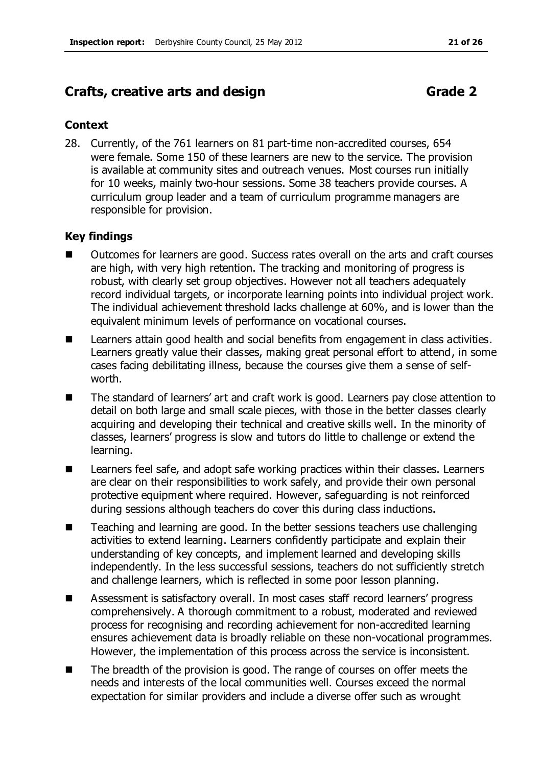# **Crafts, creative arts and design <b>Grade 2** Grade 2

### **Context**

28. Currently, of the 761 learners on 81 part-time non-accredited courses, 654 were female. Some 150 of these learners are new to the service. The provision is available at community sites and outreach venues. Most courses run initially for 10 weeks, mainly two-hour sessions. Some 38 teachers provide courses. A curriculum group leader and a team of curriculum programme managers are responsible for provision.

- Outcomes for learners are good. Success rates overall on the arts and craft courses are high, with very high retention. The tracking and monitoring of progress is robust, with clearly set group objectives. However not all teachers adequately record individual targets, or incorporate learning points into individual project work. The individual achievement threshold lacks challenge at 60%, and is lower than the equivalent minimum levels of performance on vocational courses.
- Learners attain good health and social benefits from engagement in class activities. Learners greatly value their classes, making great personal effort to attend, in some cases facing debilitating illness, because the courses give them a sense of selfworth.
- The standard of learners' art and craft work is good. Learners pay close attention to detail on both large and small scale pieces, with those in the better classes clearly acquiring and developing their technical and creative skills well. In the minority of classes, learners' progress is slow and tutors do little to challenge or extend the learning.
- Learners feel safe, and adopt safe working practices within their classes. Learners are clear on their responsibilities to work safely, and provide their own personal protective equipment where required. However, safeguarding is not reinforced during sessions although teachers do cover this during class inductions.
- Teaching and learning are good. In the better sessions teachers use challenging activities to extend learning. Learners confidently participate and explain their understanding of key concepts, and implement learned and developing skills independently. In the less successful sessions, teachers do not sufficiently stretch and challenge learners, which is reflected in some poor lesson planning.
- Assessment is satisfactory overall. In most cases staff record learners' progress comprehensively. A thorough commitment to a robust, moderated and reviewed process for recognising and recording achievement for non-accredited learning ensures achievement data is broadly reliable on these non-vocational programmes. However, the implementation of this process across the service is inconsistent.
- The breadth of the provision is good. The range of courses on offer meets the needs and interests of the local communities well. Courses exceed the normal expectation for similar providers and include a diverse offer such as wrought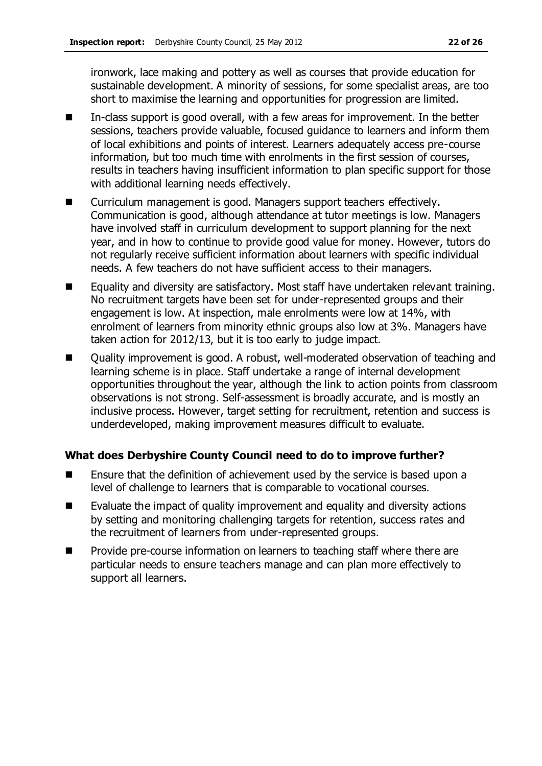ironwork, lace making and pottery as well as courses that provide education for sustainable development. A minority of sessions, for some specialist areas, are too short to maximise the learning and opportunities for progression are limited.

- In-class support is good overall, with a few areas for improvement. In the better sessions, teachers provide valuable, focused guidance to learners and inform them of local exhibitions and points of interest. Learners adequately access pre-course information, but too much time with enrolments in the first session of courses, results in teachers having insufficient information to plan specific support for those with additional learning needs effectively.
- Curriculum management is good. Managers support teachers effectively. Communication is good, although attendance at tutor meetings is low. Managers have involved staff in curriculum development to support planning for the next year, and in how to continue to provide good value for money. However, tutors do not regularly receive sufficient information about learners with specific individual needs. A few teachers do not have sufficient access to their managers.
- Equality and diversity are satisfactory. Most staff have undertaken relevant training. No recruitment targets have been set for under-represented groups and their engagement is low. At inspection, male enrolments were low at 14%, with enrolment of learners from minority ethnic groups also low at 3%. Managers have taken action for 2012/13, but it is too early to judge impact.
- Quality improvement is good. A robust, well-moderated observation of teaching and learning scheme is in place. Staff undertake a range of internal development opportunities throughout the year, although the link to action points from classroom observations is not strong. Self-assessment is broadly accurate, and is mostly an inclusive process. However, target setting for recruitment, retention and success is underdeveloped, making improvement measures difficult to evaluate.

- Ensure that the definition of achievement used by the service is based upon a level of challenge to learners that is comparable to vocational courses.
- Evaluate the impact of quality improvement and equality and diversity actions by setting and monitoring challenging targets for retention, success rates and the recruitment of learners from under-represented groups.
- Provide pre-course information on learners to teaching staff where there are particular needs to ensure teachers manage and can plan more effectively to support all learners.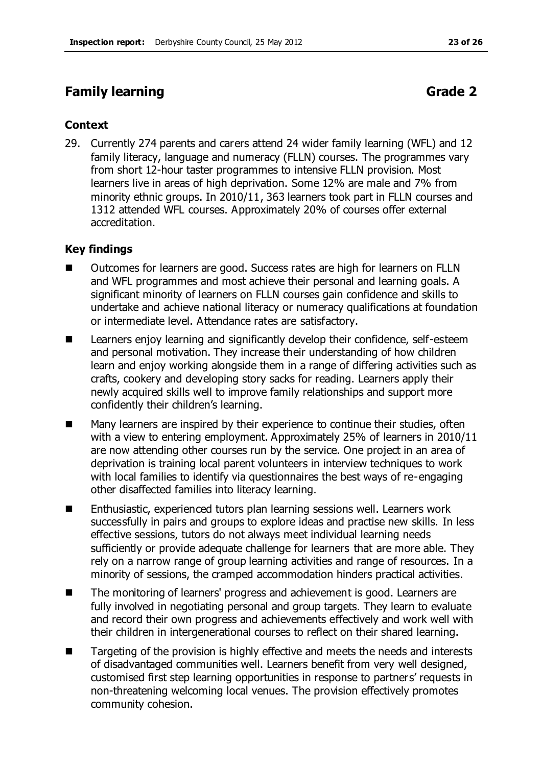# **Family learning Grade 2**

#### **Context**

29. Currently 274 parents and carers attend 24 wider family learning (WFL) and 12 family literacy, language and numeracy (FLLN) courses. The programmes vary from short 12-hour taster programmes to intensive FLLN provision. Most learners live in areas of high deprivation. Some 12% are male and 7% from minority ethnic groups. In 2010/11, 363 learners took part in FLLN courses and 1312 attended WFL courses. Approximately 20% of courses offer external accreditation.

- Outcomes for learners are good. Success rates are high for learners on FLLN and WFL programmes and most achieve their personal and learning goals. A significant minority of learners on FLLN courses gain confidence and skills to undertake and achieve national literacy or numeracy qualifications at foundation or intermediate level. Attendance rates are satisfactory.
- Learners enjoy learning and significantly develop their confidence, self-esteem and personal motivation. They increase their understanding of how children learn and enjoy working alongside them in a range of differing activities such as crafts, cookery and developing story sacks for reading. Learners apply their newly acquired skills well to improve family relationships and support more confidently their children's learning.
- Many learners are inspired by their experience to continue their studies, often with a view to entering employment. Approximately 25% of learners in 2010/11 are now attending other courses run by the service. One project in an area of deprivation is training local parent volunteers in interview techniques to work with local families to identify via questionnaires the best ways of re-engaging other disaffected families into literacy learning.
- Enthusiastic, experienced tutors plan learning sessions well. Learners work successfully in pairs and groups to explore ideas and practise new skills. In less effective sessions, tutors do not always meet individual learning needs sufficiently or provide adequate challenge for learners that are more able. They rely on a narrow range of group learning activities and range of resources. In a minority of sessions, the cramped accommodation hinders practical activities.
- The monitoring of learners' progress and achievement is good. Learners are fully involved in negotiating personal and group targets. They learn to evaluate and record their own progress and achievements effectively and work well with their children in intergenerational courses to reflect on their shared learning.
- $\blacksquare$  Targeting of the provision is highly effective and meets the needs and interests of disadvantaged communities well. Learners benefit from very well designed, customised first step learning opportunities in response to partners' requests in non-threatening welcoming local venues. The provision effectively promotes community cohesion.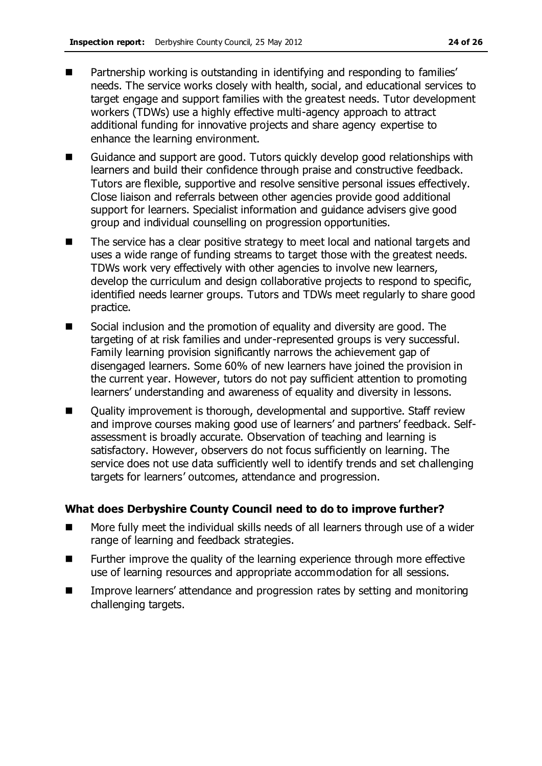- **Partnership working is outstanding in identifying and responding to families'** needs. The service works closely with health, social, and educational services to target engage and support families with the greatest needs. Tutor development workers (TDWs) use a highly effective multi-agency approach to attract additional funding for innovative projects and share agency expertise to enhance the learning environment.
- Guidance and support are good. Tutors quickly develop good relationships with learners and build their confidence through praise and constructive feedback. Tutors are flexible, supportive and resolve sensitive personal issues effectively. Close liaison and referrals between other agencies provide good additional support for learners. Specialist information and guidance advisers give good group and individual counselling on progression opportunities.
- The service has a clear positive strategy to meet local and national targets and uses a wide range of funding streams to target those with the greatest needs. TDWs work very effectively with other agencies to involve new learners, develop the curriculum and design collaborative projects to respond to specific, identified needs learner groups. Tutors and TDWs meet regularly to share good practice.
- Social inclusion and the promotion of equality and diversity are good. The targeting of at risk families and under-represented groups is very successful. Family learning provision significantly narrows the achievement gap of disengaged learners. Some 60% of new learners have joined the provision in the current year. However, tutors do not pay sufficient attention to promoting learners' understanding and awareness of equality and diversity in lessons.
- Quality improvement is thorough, developmental and supportive. Staff review and improve courses making good use of learners' and partners' feedback. Selfassessment is broadly accurate. Observation of teaching and learning is satisfactory. However, observers do not focus sufficiently on learning. The service does not use data sufficiently well to identify trends and set challenging targets for learners' outcomes, attendance and progression.

- More fully meet the individual skills needs of all learners through use of a wider range of learning and feedback strategies.
- Further improve the quality of the learning experience through more effective use of learning resources and appropriate accommodation for all sessions.
- **IMPROVE LATTERS** Improve learners' attendance and progression rates by setting and monitoring challenging targets.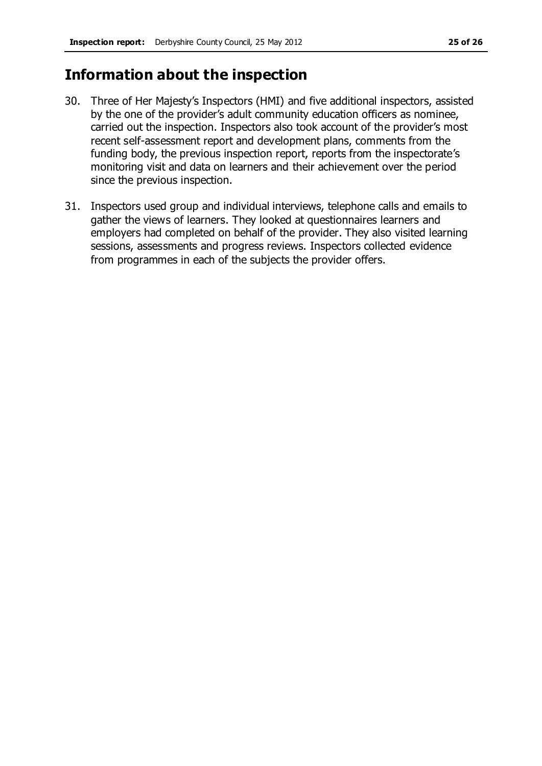# **Information about the inspection**

- 30. Three of Her Majesty's Inspectors (HMI) and five additional inspectors, assisted by the one of the provider's adult community education officers as nominee, carried out the inspection. Inspectors also took account of the provider's most recent self-assessment report and development plans, comments from the funding body, the previous inspection report, reports from the inspectorate's monitoring visit and data on learners and their achievement over the period since the previous inspection.
- 31. Inspectors used group and individual interviews, telephone calls and emails to gather the views of learners. They looked at questionnaires learners and employers had completed on behalf of the provider. They also visited learning sessions, assessments and progress reviews. Inspectors collected evidence from programmes in each of the subjects the provider offers.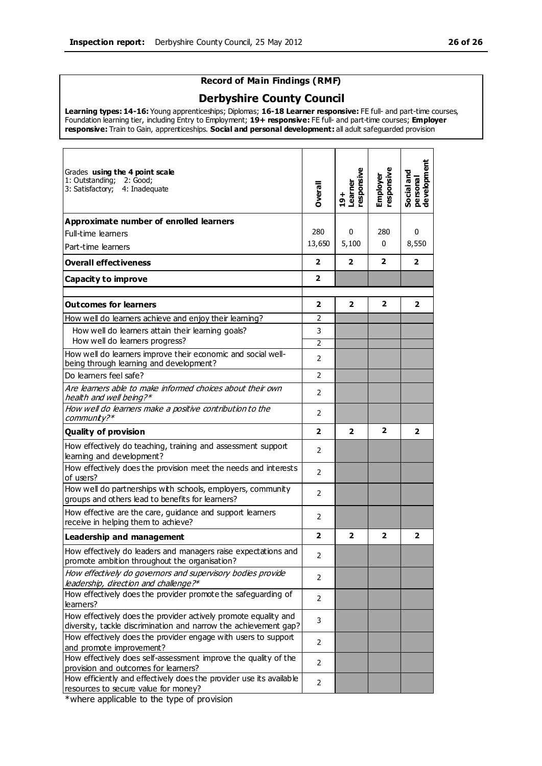#### **Record of Main Findings (RMF)**

#### **Derbyshire County Council**

**Learning types: 14-16:** Young apprenticeships; Diplomas; **16-18 Learner responsive:** FE full- and part-time courses, Foundation learning tier, including Entry to Employment; **19+ responsive:** FE full- and part-time courses; **Employer responsive:** Train to Gain, apprenticeships. **Social and personal development:** all adult safeguarded provision

| Grades using the 4 point scale<br>1: Outstanding; 2: Good;<br>3: Satisfactory; 4: Inadequate                                        | <b>Dverall</b> | <b>axisuodsa</b> .<br>Learner<br>$19+$ | responsiv<br>Employer | Social and<br>personal<br>development |
|-------------------------------------------------------------------------------------------------------------------------------------|----------------|----------------------------------------|-----------------------|---------------------------------------|
| Approximate number of enrolled learners                                                                                             |                |                                        |                       |                                       |
| Full-time learners                                                                                                                  | 280            | 0                                      | 280                   | 0                                     |
| Part-time learners                                                                                                                  | 13,650         | 5,100                                  | $\mathbf{0}$          | 8,550                                 |
| <b>Overall effectiveness</b>                                                                                                        | $\overline{2}$ | $\overline{2}$                         | $\overline{2}$        | $\overline{2}$                        |
| Capacity to improve                                                                                                                 | $\mathbf{2}$   |                                        |                       |                                       |
| <b>Outcomes for learners</b>                                                                                                        | $\mathbf{2}$   | $\overline{2}$                         | $\overline{2}$        | $\overline{2}$                        |
| How well do learners achieve and enjoy their learning?                                                                              | 2              |                                        |                       |                                       |
| How well do learners attain their learning goals?                                                                                   | 3              |                                        |                       |                                       |
| How well do learners progress?                                                                                                      | 2              |                                        |                       |                                       |
| How well do learners improve their economic and social well-<br>being through learning and development?                             | 2              |                                        |                       |                                       |
| Do learners feel safe?                                                                                                              | $\overline{2}$ |                                        |                       |                                       |
| Are learners able to make informed choices about their own<br>health and well being?*                                               | 2              |                                        |                       |                                       |
| How well do learners make a positive contribution to the<br>$communk$ ?*                                                            | 2              |                                        |                       |                                       |
| <b>Quality of provision</b>                                                                                                         | $\overline{2}$ | $\overline{2}$                         | $\overline{2}$        | $\overline{2}$                        |
| How effectively do teaching, training and assessment support<br>learning and development?                                           | $\overline{2}$ |                                        |                       |                                       |
| How effectively does the provision meet the needs and interests<br>of users?                                                        | $\overline{2}$ |                                        |                       |                                       |
| How well do partnerships with schools, employers, community<br>groups and others lead to benefits for learners?                     | $\overline{2}$ |                                        |                       |                                       |
| How effective are the care, guidance and support learners<br>receive in helping them to achieve?                                    | 2              |                                        |                       |                                       |
| <b>Leadership and management</b>                                                                                                    | $\overline{2}$ | $\overline{2}$                         | $\overline{2}$        | $\overline{2}$                        |
| How effectively do leaders and managers raise expectations and<br>promote ambition throughout the organisation?                     | 2              |                                        |                       |                                       |
| How effectively do governors and supervisory bodies provide<br>leadership, direction and challenge?*                                | 2              |                                        |                       |                                       |
| How effectively does the provider promote the safeguarding of<br>learners?                                                          | $\overline{2}$ |                                        |                       |                                       |
| How effectively does the provider actively promote equality and<br>diversity, tackle discrimination and narrow the achievement gap? | 3              |                                        |                       |                                       |
| How effectively does the provider engage with users to support<br>and promote improvement?                                          | 2              |                                        |                       |                                       |
| How effectively does self-assessment improve the quality of the<br>provision and outcomes for learners?                             | 2              |                                        |                       |                                       |
| How efficiently and effectively does the provider use its available<br>resources to secure value for money?                         | $\overline{2}$ |                                        |                       |                                       |

\*where applicable to the type of provision